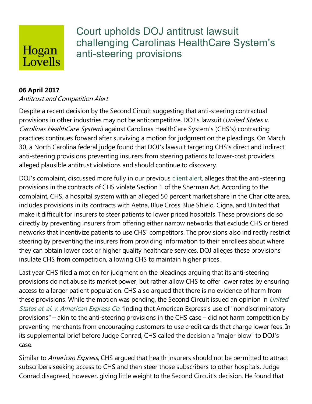## Hogan Lovells

Court upholds DOJ antitrust lawsuit challenging Carolinas HealthCare System's anti-steering provisions

## **06 April 2017**

## Antitrust and Competition Alert

Despite a recent decision by the Second Circuit suggesting that anti-steering contractual provisions in other industries may not be anticompetitive, DOJ's lawsuit (United States v. Carolinas HealthCare System) against Carolinas HealthCare System's (CHS's) contracting practices continues forward after surviving a motion for judgment on the pleadings. On March 30, a North Carolina federal judge found that DOJ's lawsuit targeting CHS's direct and indirect anti-steering provisions preventing insurers from steering patients to lower-cost providers alleged plausible antitrust violations and should continue to discovery.

DOJ's complaint, discussed more fully in our previous client alert, alleges that the anti-steering provisions in the contracts of CHS violate Section 1 of the Sherman Act. According to the complaint, CHS, a hospital system with an alleged 50 percent market share in the Charlotte area, includes provisions in its contracts with Aetna, Blue Cross Blue Shield, Cigna, and United that make it difficult for insurers to steer patients to lower priced hospitals. These provisions do so directly by preventing insurers from offering either narrow networks that exclude CHS or tiered networks that incentivize patients to use CHS' competitors.The provisions also indirectly restrict steering by preventing the insurers from providing information to their enrollees about where they can obtain lower cost or higher quality healthcare services. DOJ alleges these provisions insulate CHS from competition, allowing CHS to maintain higher prices.

Last year CHS filed a motion for judgment on the pleadings arguing that its anti-steering provisions do not abuse its market power, but rather allow CHS to offer lower rates by ensuring access to a larger patient population. CHS also argued that there is no evidence of harm from these provisions. While the motion was pending, the Second Circuit issued an opinion in United States et. al. v. American Express Co. finding that American Express's use of "nondiscriminatory provisions" – akin to the anti-steering provisions in the CHS case – did not harm competition by preventing merchants from encouraging customers to use credit cards that charge lower fees. In its supplemental brief before Judge Conrad, CHS called the decision a "major blow" to DOJ's case.

Similar to American Express, CHS argued that health insurers should not be permitted to attract subscribers seeking access to CHS and then steer those subscribers to other hospitals. Judge Conrad disagreed, however, giving little weight to the Second Circuit's decision. Hefound that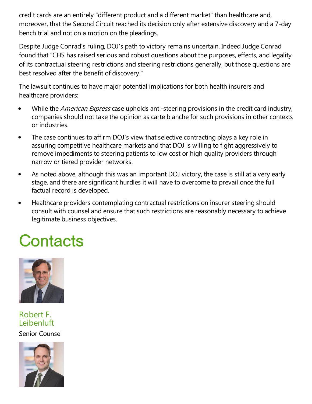credit cards are an entirely "different product and a different market" than healthcare and, moreover, that the Second Circuit reached its decision only after extensive discovery and a 7-day bench trial and not on a motion on the pleadings.

Despite Judge Conrad's ruling, DOJ's path to victory remains uncertain. Indeed Judge Conrad found that "CHS has raised serious and robust questions about the purposes, effects, and legality of its contractual steering restrictions and steering restrictions generally, but those questions are best resolved after the benefit of discovery."

The lawsuit continues to have major potential implications for both health insurers and healthcare providers:

- $\bullet$ While the *American Express* case upholds anti-steering provisions in the credit card industry, companies should not take the opinion as carte blanche for such provisions in other contexts or industries.
- The case continues to affirm DOJ's view that selective contracting plays a key role in  $\bullet$ assuring competitive healthcare markets and that DOJ is willing to fight aggressively to remove impediments to steering patients to low cost or high quality providers through narrow or tiered provider networks.
- As noted above, although this was an important DOJ victory, the case is still at a very early  $\bullet$ stage, and there are significant hurdles it will have to overcome to prevail once the full factual record is developed.
- Healthcare providers contemplating contractual restrictions on insurer steering should  $\bullet$ consult with counsel and ensure that such restrictions are reasonably necessary to achieve legitimate business objectives.

## Contacts



Robert F. Leibenluft

Senior Counsel